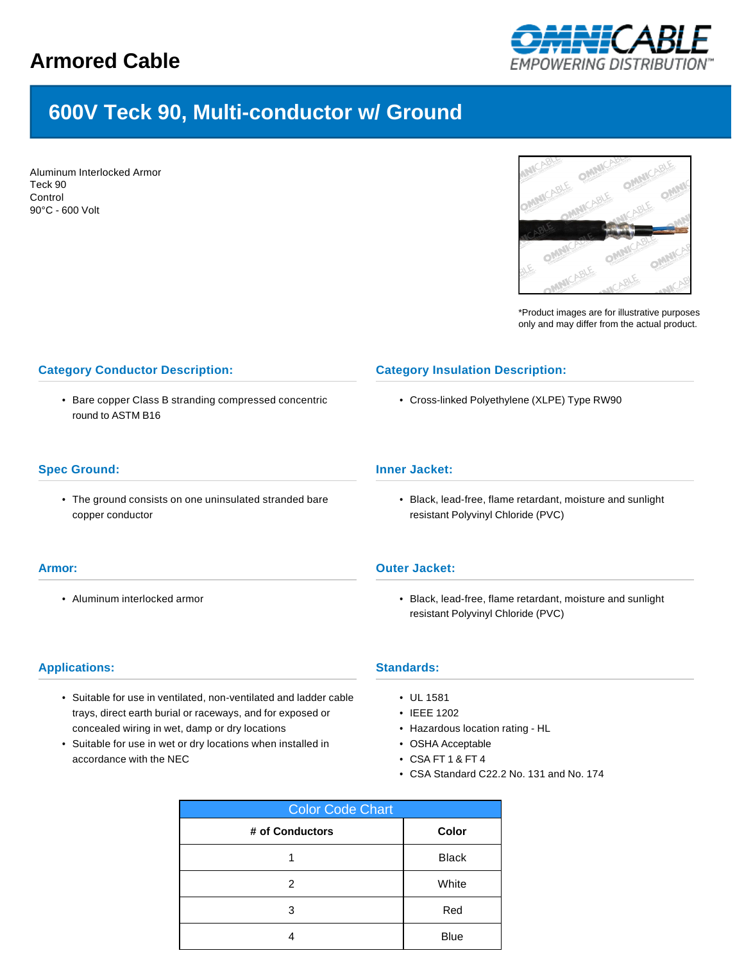## **Armored Cable**



# **600V Teck 90, Multi-conductor w/ Ground**

Aluminum Interlocked Armor Teck 90 Control 90°C - 600 Volt



\*Product images are for illustrative purposes only and may differ from the actual product.

## **Category Conductor Description:**

• Bare copper Class B stranding compressed concentric round to ASTM B16

#### **Spec Ground:**

• The ground consists on one uninsulated stranded bare copper conductor

#### **Armor:**

• Aluminum interlocked armor

#### **Applications:**

- Suitable for use in ventilated, non-ventilated and ladder cable trays, direct earth burial or raceways, and for exposed or concealed wiring in wet, damp or dry locations
- Suitable for use in wet or dry locations when installed in accordance with the NEC

#### **Category Insulation Description:**

• Cross-linked Polyethylene (XLPE) Type RW90

#### **Inner Jacket:**

• Black, lead-free, flame retardant, moisture and sunlight resistant Polyvinyl Chloride (PVC)

### **Outer Jacket:**

• Black, lead-free, flame retardant, moisture and sunlight resistant Polyvinyl Chloride (PVC)

## **Standards:**

- UL 1581
- IEEE 1202
- Hazardous location rating HL
- OSHA Acceptable
- CSA FT 1 & FT 4
- CSA Standard C22.2 No. 131 and No. 174

| <b>Color Code Chart</b> |              |  |  |  |  |  |
|-------------------------|--------------|--|--|--|--|--|
| # of Conductors         | <b>Color</b> |  |  |  |  |  |
|                         | <b>Black</b> |  |  |  |  |  |
| 2                       | White        |  |  |  |  |  |
| 3                       | Red          |  |  |  |  |  |
|                         | <b>Blue</b>  |  |  |  |  |  |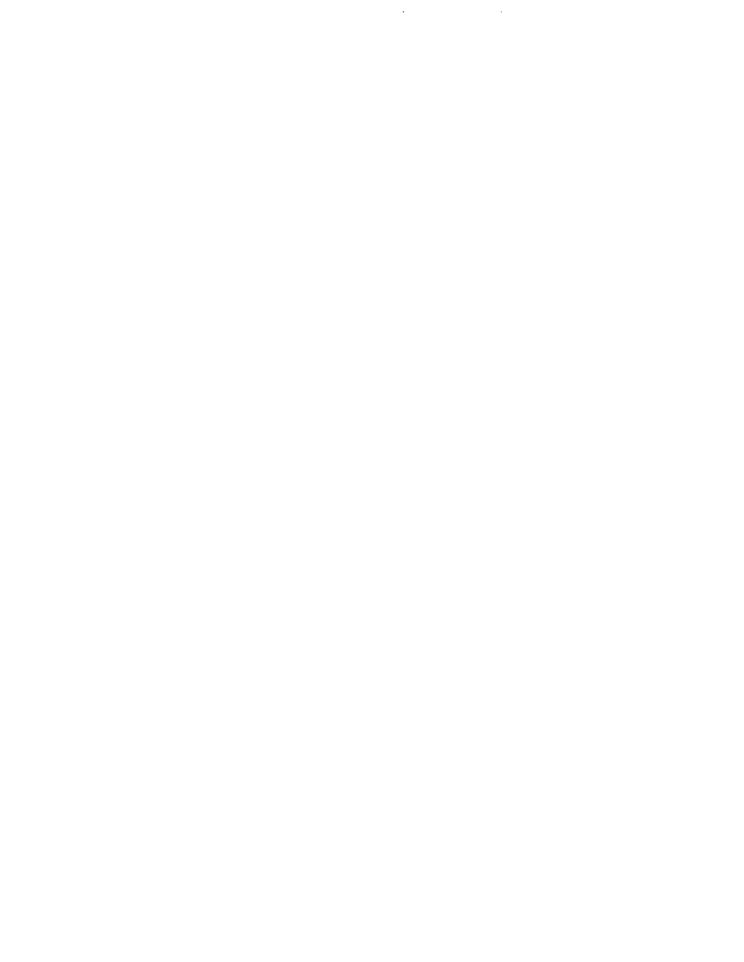$\hat{\mathcal{A}}$  $\hat{\mathcal{L}}$